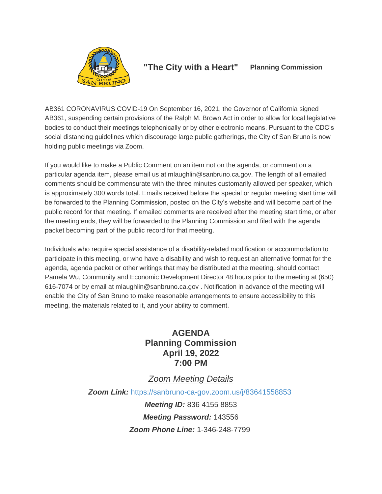

## **"The City with a Heart" Planning Commission**

AB361 CORONAVIRUS COVID-19 On September 16, 2021, the Governor of California signed AB361, suspending certain provisions of the Ralph M. Brown Act in order to allow for local legislative bodies to conduct their meetings telephonically or by other electronic means. Pursuant to the CDC's social distancing guidelines which discourage large public gatherings, the City of San Bruno is now holding public meetings via Zoom.

If you would like to make a Public Comment on an item not on the agenda, or comment on a particular agenda item, please email us at mlaughlin@sanbruno.ca.gov. The length of all emailed comments should be commensurate with the three minutes customarily allowed per speaker, which is approximately 300 words total. Emails received before the special or regular meeting start time will be forwarded to the Planning Commission, posted on the City's website and will become part of the public record for that meeting. If emailed comments are received after the meeting start time, or after the meeting ends, they will be forwarded to the Planning Commission and filed with the agenda packet becoming part of the public record for that meeting.

Individuals who require special assistance of a disability-related modification or accommodation to participate in this meeting, or who have a disability and wish to request an alternative format for the agenda, agenda packet or other writings that may be distributed at the meeting, should contact Pamela Wu, Community and Economic Development Director 48 hours prior to the meeting at (650) 616-7074 or by email at mlaughlin@sanbruno.ca.gov . Notification in advance of the meeting will enable the City of San Bruno to make reasonable arrangements to ensure accessibility to this meeting, the materials related to it, and your ability to comment.

# **AGENDA Planning Commission April 19, 2022 7:00 PM**

# *Zoom Meeting Details*

*Zoom Link:* <https://sanbruno-ca-gov.zoom.us/j/83641558853>

*Meeting ID:* 836 4155 8853 *Meeting Password:* 143556 *Zoom Phone Line:* 1-346-248-7799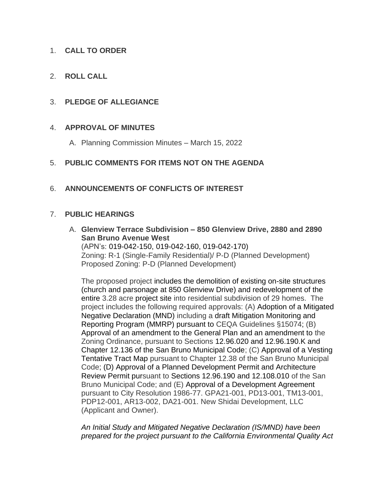### 1. **CALL TO ORDER**

2. **ROLL CALL**

#### 3. **PLEDGE OF ALLEGIANCE**

#### 4. **APPROVAL OF MINUTES**

A. Planning Commission Minutes – March 15, 2022

### 5. **PUBLIC COMMENTS FOR ITEMS NOT ON THE AGENDA**

### 6. **ANNOUNCEMENTS OF CONFLICTS OF INTEREST**

#### 7. **PUBLIC HEARINGS**

A. **Glenview Terrace Subdivision – 850 Glenview Drive, 2880 and 2890 San Bruno Avenue West** 

(APN's: 019-042-150, 019-042-160, 019-042-170) Zoning: R-1 (Single-Family Residential)/ P-D (Planned Development) Proposed Zoning: P-D (Planned Development)

The proposed project includes the demolition of existing on-site structures (church and parsonage at 850 Glenview Drive) and redevelopment of the entire 3.28 acre project site into residential subdivision of 29 homes. The project includes the following required approvals: (A) Adoption of a Mitigated Negative Declaration (MND) including a draft Mitigation Monitoring and Reporting Program (MMRP) pursuant to CEQA Guidelines §15074; (B) Approval of an amendment to the General Plan and an amendment to the Zoning Ordinance, pursuant to Sections 12.96.020 and 12.96.190.K and Chapter 12.136 of the San Bruno Municipal Code; (C) Approval of a Vesting Tentative Tract Map pursuant to Chapter 12.38 of the San Bruno Municipal Code; (D) Approval of a Planned Development Permit and Architecture Review Permit pursuant to Sections 12.96.190 and 12.108.010 of the San Bruno Municipal Code; and (E) Approval of a Development Agreement pursuant to City Resolution 1986-77. GPA21-001, PD13-001, TM13-001, PDP12-001, AR13-002, DA21-001. New Shidai Development, LLC (Applicant and Owner).

*An Initial Study and Mitigated Negative Declaration (IS/MND) have been prepared for the project pursuant to the California Environmental Quality Act*